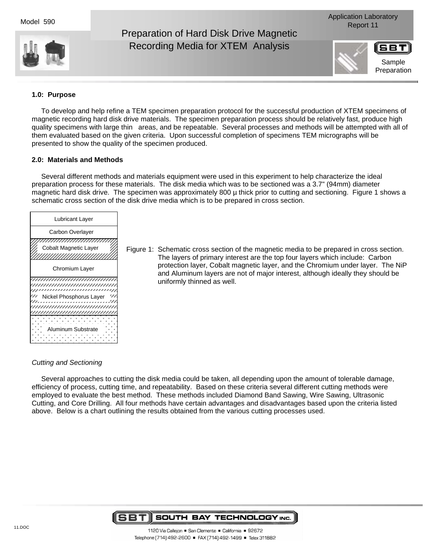

Preparation of Hard Disk Drive Magnetic Recording Media for XTEM Analysis





**1.0: Purpose**

To develop and help refine a TEM specimen preparation protocol for the successful production of XTEM specimens of magnetic recording hard disk drive materials. The specimen preparation process should be relatively fast, produce high quality specimens with large thin areas, and be repeatable. Several processes and methods will be attempted with all of them evaluated based on the given criteria. Upon successful completion of specimens TEM micrographs will be presented to show the quality of the specimen produced.

## **2.0: Materials and Methods**

Several different methods and materials equipment were used in this experiment to help characterize the ideal preparation process for these materials. The disk media which was to be sectioned was a 3.7" (94mm) diameter magnetic hard disk drive. The specimen was approximately 800 µ thick prior to cutting and sectioning. Figure 1 shows a schematic cross section of the disk drive media which is to be prepared in cross section.



Figure 1: Schematic cross section of the magnetic media to be prepared in cross section. The layers of primary interest are the top four layers which include: Carbon protection layer, Cobalt magnetic layer, and the Chromium under layer. The NiP and Aluminum layers are not of major interest, although ideally they should be uniformly thinned as well.

# Cutting and Sectioning

Several approaches to cutting the disk media could be taken, all depending upon the amount of tolerable damage, efficiency of process, cutting time, and repeatability. Based on these criteria several different cutting methods were employed to evaluate the best method. These methods included Diamond Band Sawing, Wire Sawing, Ultrasonic Cutting, and Core Drilling. All four methods have certain advantages and disadvantages based upon the criteria listed above. Below is a chart outlining the results obtained from the various cutting processes used.

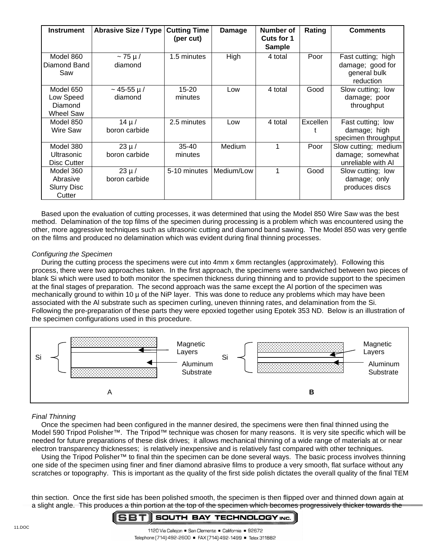| <b>Instrument</b>                                     | <b>Abrasive Size / Type</b> | <b>Cutting Time</b><br>(per cut) | Damage     | Number of<br>Cuts for 1<br><b>Sample</b> | Rating   | <b>Comments</b>                                                     |
|-------------------------------------------------------|-----------------------------|----------------------------------|------------|------------------------------------------|----------|---------------------------------------------------------------------|
| Model 860<br>Diamond Band<br>Saw                      | $\sim$ 75 µ/<br>diamond     | 1.5 minutes                      | High       | 4 total                                  | Poor     | Fast cutting; high<br>damage; good for<br>general bulk<br>reduction |
| Model 650<br>Low Speed<br>Diamond<br>Wheel Saw        | $\sim$ 45-55 µ/<br>diamond  | 15-20<br>minutes                 | Low        | 4 total                                  | Good     | Slow cutting; low<br>damage; poor<br>throughput                     |
| Model 850<br><b>Wire Saw</b>                          | $14 \mu/$<br>boron carbide  | 2.5 minutes                      | Low        | 4 total                                  | Excellen | Fast cutting; low<br>damage; high<br>specimen throughput            |
| Model 380<br>Ultrasonic<br><b>Disc Cutter</b>         | $23 \mu/$<br>boron carbide  | $35 - 40$<br>minutes             | Medium     | 1                                        | Poor     | Slow cutting; medium<br>damage; somewhat<br>unreliable with Al      |
| Model 360<br>Abrasive<br><b>Slurry Disc</b><br>Cutter | $23 \mu/$<br>boron carbide  | 5-10 minutes                     | Medium/Low | 1                                        | Good     | Slow cutting; low<br>damage; only<br>produces discs                 |

Based upon the evaluation of cutting processes, it was determined that using the Model 850 Wire Saw was the best method. Delamination of the top films of the specimen during processing is a problem which was encountered using the other, more aggressive techniques such as ultrasonic cutting and diamond band sawing. The Model 850 was very gentle on the films and produced no delamination which was evident during final thinning processes.

# Configuring the Specimen

During the cutting process the specimens were cut into 4mm x 6mm rectangles (approximately). Following this process, there were two approaches taken. In the first approach, the specimens were sandwiched between two pieces of blank Si which were used to both monitor the specimen thickness during thinning and to provide support to the specimen at the final stages of preparation. The second approach was the same except the Al portion of the specimen was mechanically ground to within 10 µ of the NiP layer. This was done to reduce any problems which may have been associated with the Al substrate such as specimen curling, uneven thinning rates, and delamination from the Si. Following the pre-preparation of these parts they were epoxied together using Epotek 353 ND. Below is an illustration of the specimen configurations used in this procedure.



# Final Thinning

Once the specimen had been configured in the manner desired, the specimens were then final thinned using the Model 590 Tripod Polisher™. The Tripod™ technique was chosen for many reasons. It is very site specific which will be needed for future preparations of these disk drives; it allows mechanical thinning of a wide range of materials at or near electron transparency thicknesses; is relatively inexpensive and is relatively fast compared with other techniques.

Using the Tripod Polisher™ to final thin the specimen can be done several ways. The basic process involves thinning one side of the specimen using finer and finer diamond abrasive films to produce a very smooth, flat surface without any scratches or topography. This is important as the quality of the first side polish dictates the overall quality of the final TEM

thin section. Once the first side has been polished smooth, the specimen is then flipped over and thinned down again at a slight angle. This produces a thin portion at the top of the specimen which becomes progressively thicker towards the

### SBTI **SOUTH BAY TECHNOLOGY INC.**